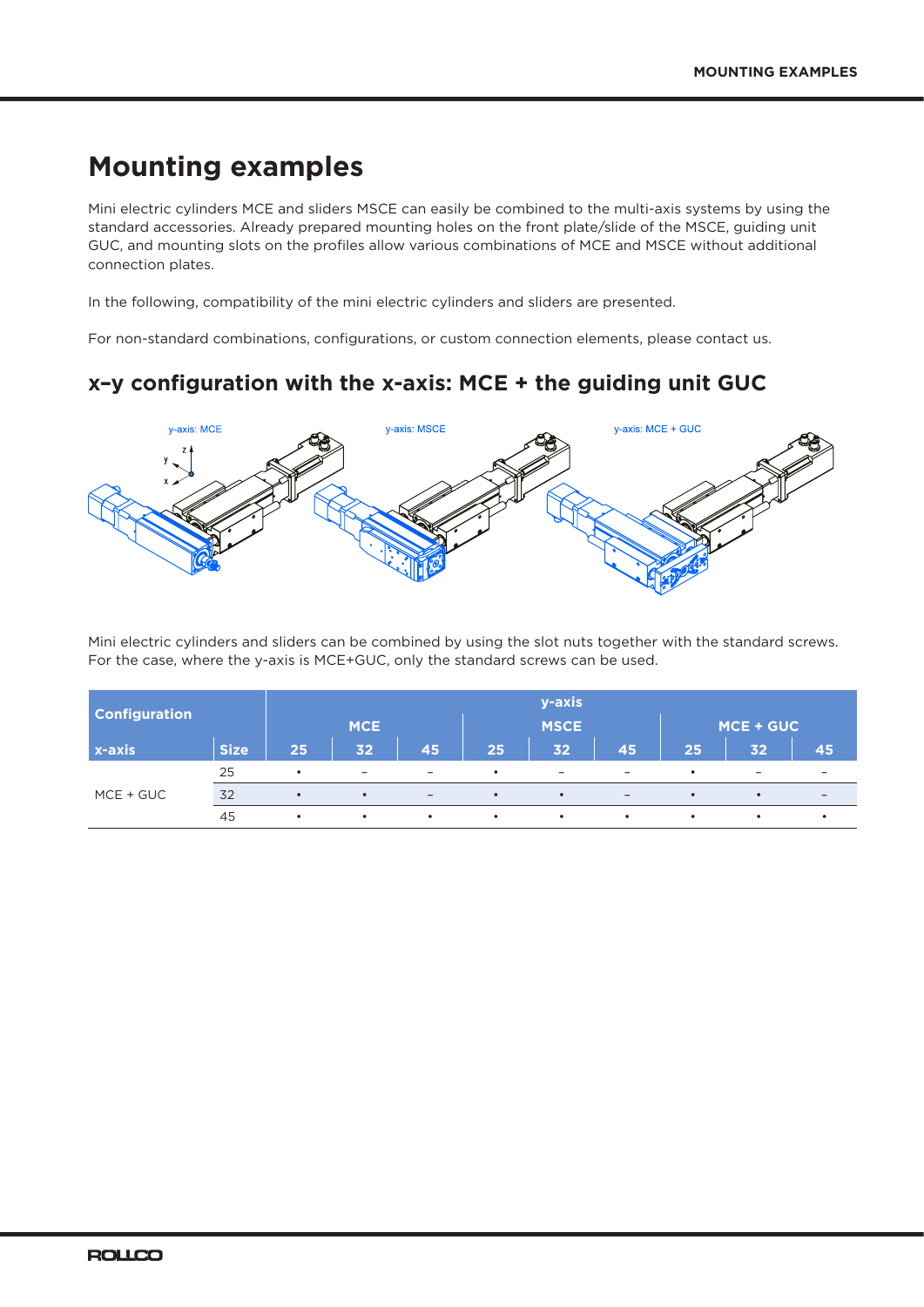# **Mounting examples**

Mini electric cylinders MCE and sliders MSCE can easily be combined to the multi-axis systems by using the standard accessories. Already prepared mounting holes on the front plate/slide of the MSCE, guiding unit GUC, and mounting slots on the profiles allow various combinations of MCE and MSCE without additional connection plates.

In the following, compatibility of the mini electric cylinders and sliders are presented.

For non-standard combinations, configurations, or custom connection elements, please contact us.

#### **x–y configuration with the x-axis: MCE + the guiding unit GUC**



Mini electric cylinders and sliders can be combined by using the slot nuts together with the standard screws. For the case, where the y-axis is MCE+GUC, only the standard screws can be used.

| <b>Configuration</b> |             | y-axis<br>MCE + GUC<br><b>MCE</b><br><b>MSCE</b> |                          |                          |           |                          |                          |           |                          |                              |
|----------------------|-------------|--------------------------------------------------|--------------------------|--------------------------|-----------|--------------------------|--------------------------|-----------|--------------------------|------------------------------|
| x-axis               | <b>Size</b> | 25                                               | 32 <sub>2</sub>          | 45                       | 25        | 32                       | 45                       | 25        | 32                       | 45                           |
| MCE + GUC            | 25          | $\bullet$                                        | $\overline{\phantom{0}}$ | $\overline{\phantom{0}}$ | $\bullet$ | $\overline{\phantom{0}}$ | $\overline{\phantom{0}}$ | $\bullet$ | $\overline{\phantom{0}}$ | $\overline{\phantom{0}}$     |
|                      | 32          | $\bullet$                                        | $\bullet$                | $\overline{\phantom{0}}$ | $\bullet$ | $\bullet$                | $\overline{\phantom{0}}$ | $\bullet$ | $\bullet$                | $\qquad \qquad \blacksquare$ |
|                      | 45          | $\bullet$                                        | $\bullet$                | $\bullet$                | $\bullet$ | $\bullet$                | $\bullet$                | $\bullet$ | $\bullet$                | $\bullet$                    |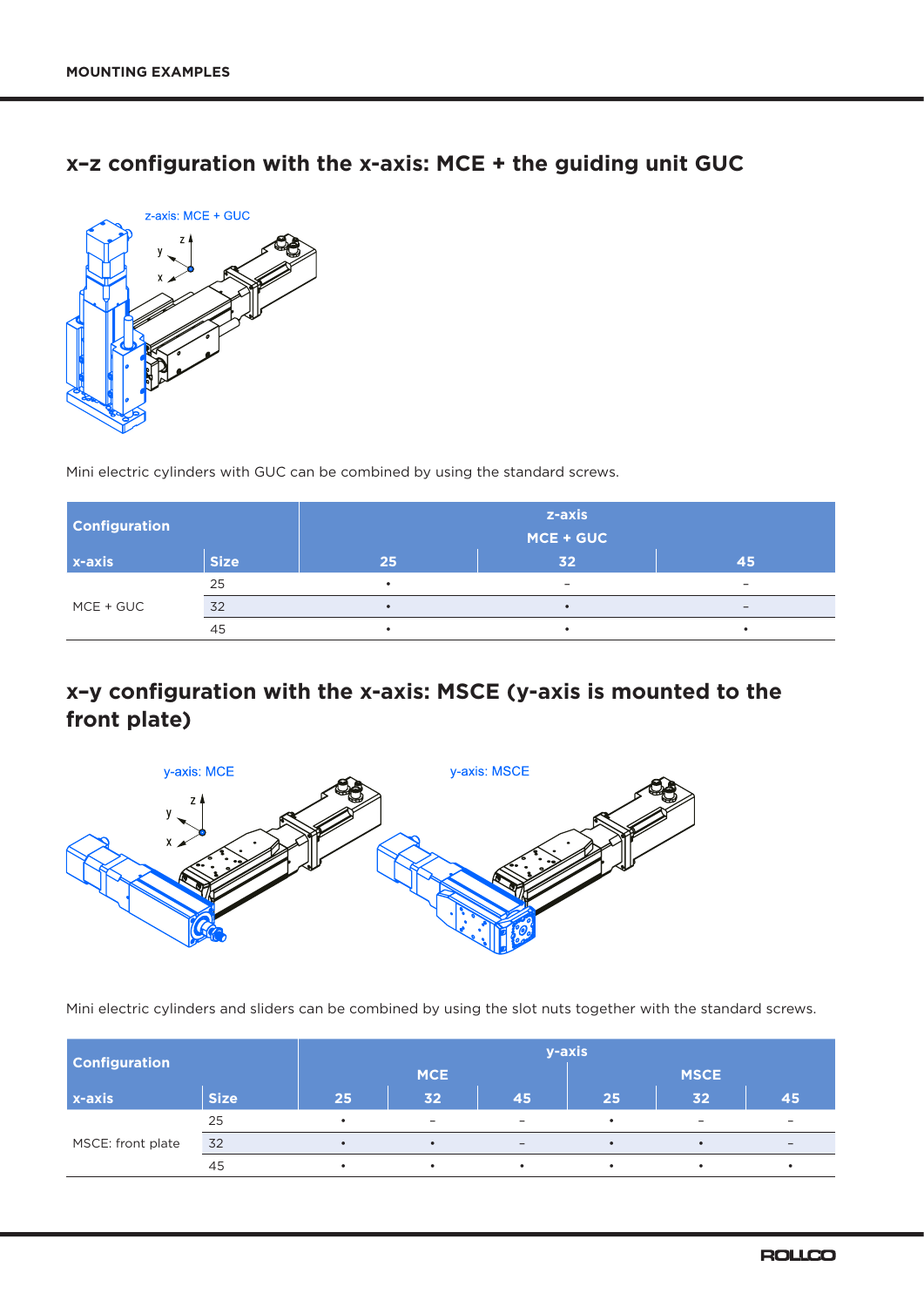### **x–z configuration with the x-axis: MCE + the guiding unit GUC**



Mini electric cylinders with GUC can be combined by using the standard screws.

| <b>Configuration</b> |             | z-axis<br>MCE + GUC |                          |    |  |  |  |  |
|----------------------|-------------|---------------------|--------------------------|----|--|--|--|--|
| $x-axis$             | <b>Size</b> | 25                  | 32                       | 45 |  |  |  |  |
| MCE + GUC            | 25          |                     | $\overline{\phantom{0}}$ |    |  |  |  |  |
|                      | 32          |                     |                          |    |  |  |  |  |
|                      | 45          |                     |                          |    |  |  |  |  |

## **x–y configuration with the x-axis: MSCE (y-axis is mounted to the front plate)**



Mini electric cylinders and sliders can be combined by using the slot nuts together with the standard screws.

| <b>Configuration</b> |             | y-axis    |                          |                          |             |                          |                          |  |  |
|----------------------|-------------|-----------|--------------------------|--------------------------|-------------|--------------------------|--------------------------|--|--|
|                      |             |           | <b>MCE</b>               |                          | <b>MSCE</b> |                          |                          |  |  |
| $x$ -axis            | <b>Size</b> | 25        | 32                       | 45                       | 25          | 32                       | 45                       |  |  |
| MSCE: front plate    | 25          |           | $\overline{\phantom{a}}$ | $\overline{\phantom{a}}$ |             | $\overline{\phantom{m}}$ | $\overline{\phantom{0}}$ |  |  |
|                      | 32          | $\bullet$ | $\bullet$                | $\overline{\phantom{0}}$ |             | ٠                        | $\overline{\phantom{0}}$ |  |  |
|                      | 45          |           | $\bullet$                |                          | $\bullet$   | ٠                        | ٠                        |  |  |